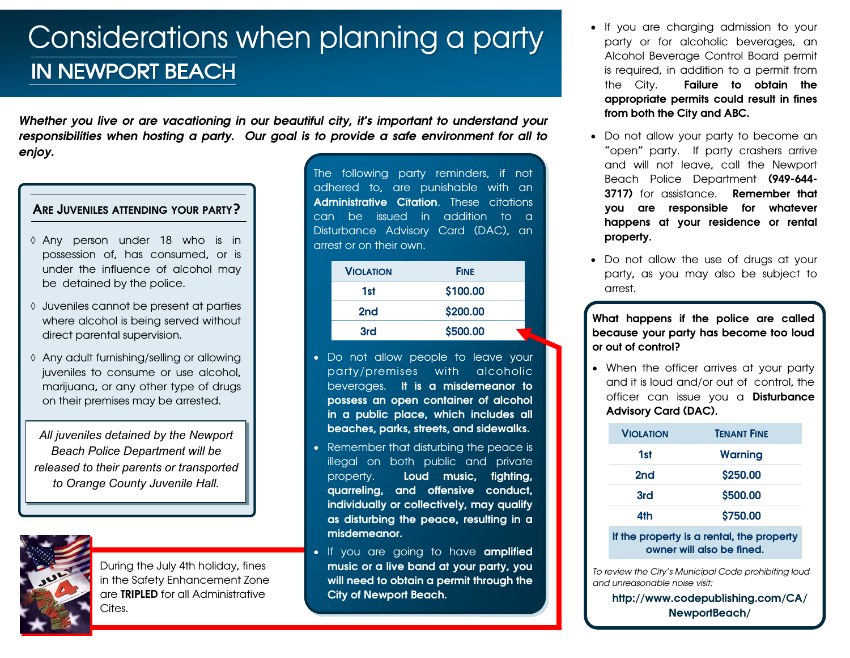## Considerations when planning a party **IN NEWPORT BEACH**

*Whether you live or are vacationing in our beautiful city, it's important to understand your responsibilities when hosting a party. Our goal is to provide a safe environment for all to enjoy.*

#### ARE JUVENILES ATTENDING YOUR PARTY?

- Any person under 18 who is in possession of, has consumed, or is under the influence of alcohol may be detained by the police.
- Juveniles cannot be present at parties where alcohol is being served without direct parental supervision.
- Any adult furnishing/selling or allowing juveniles to consume or use alcohol, marijuana, or any other type of drugs on their premises may be arrested.

*All juveniles detained by the Newport Beach Police Department will be released to their parents or transported to Orange County Juvenile Hall.* 



During the July 4th holiday, fines in the Safety Enhancement Zone are TRIPLED for all Administrative Cites.

The following party reminders, if not adhered to, are punishable with an Administrative Citation. These citations can be issued in addition to a Disturbance Advisory Card (DAC), an arrest or on their own.

| <b>VIOLATION</b> | <b>FINE</b> |
|------------------|-------------|
| 1st              | \$100.00    |
| 2 <sub>nd</sub>  | \$200.00    |
| 3rd              | \$500.00    |

- Do not allow people to leave your party/premises with alcoholic beverages. It is a misdemeanor to possess an open container of alcohol in a public place, which includes all beaches, parks, streets, and sidewalks.
- Remember that disturbing the peace is illegal on both public and private property. Loud music, fighting, quarreling, and offensive conduct, individually or collectively, may qualify as disturbing the peace, resulting in a misdemeanor.
- If you are going to have amplified music or a live band at your party, you will need to obtain a permit through the City of Newport Beach.
- If you are charging admission to your party or for alcoholic beverages, an Alcohol Beverage Control Board permit is required, in addition to a permit from the City. Failure to obtain the appropriate permits could result in fines from both the City and ABC.
- Do not allow your party to become an "open" party. If party crashers arrive and will not leave, call the Newport Beach Police Department (949-644- 3717) for assistance. **Remember that** you are responsible for whatever happens at your residence or rental property.
- Do not allow the use of drugs at your party, as you may also be subject to arrest.

What happens if the police are called because your party has become too loud or out of control?

• When the officer arrives at your party and it is loud and/or out of control, the officer can issue you a **Disturbance** Advisory Card (DAC).

| <b>VIOLATION</b>                          | <b>TENANT FINE</b> |
|-------------------------------------------|--------------------|
| 1st                                       | Warning            |
| 2 <sub>nd</sub>                           | \$250.00           |
| 3rd                                       | \$500.00           |
| 4th                                       | \$750.00           |
| If the property is a rental, the property |                    |

owner will also be fined.

*To review the City's Municipal Code prohibiting loud and unreasonable noise visit:*

http://www.codepublishing.com/CA/ NewportBeach/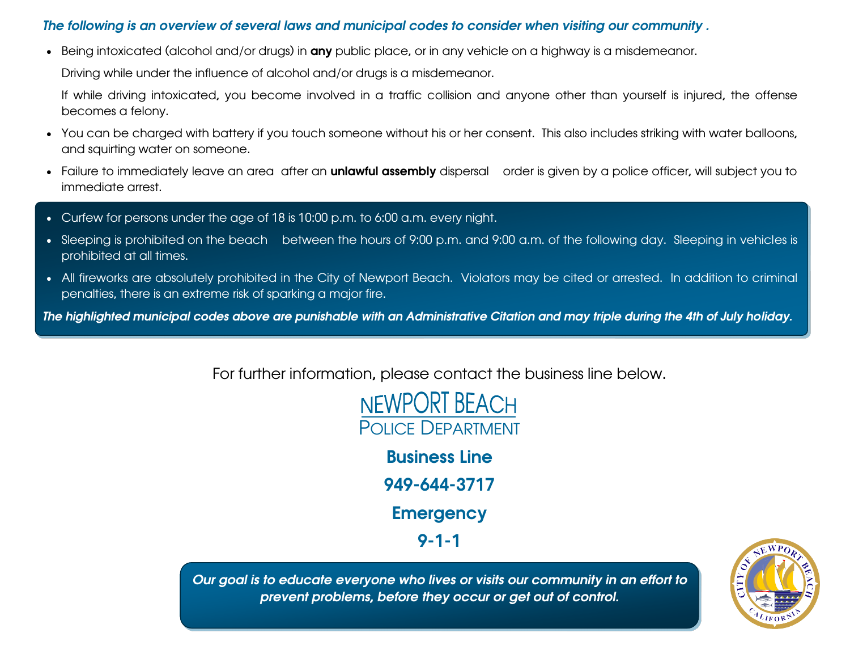### *The following is an overview of several laws and municipal codes to consider when visiting our community .*

• Being intoxicated (alcohol and/or drugs) in any public place, or in any vehicle on a highway is a misdemeanor.

Driving while under the influence of alcohol and/or drugs is a misdemeanor.

If while driving intoxicated, you become involved in a traffic collision and anyone other than yourself is injured, the offense becomes a felony.

- You can be charged with battery if you touch someone without his or her consent. This also includes striking with water balloons, and squirting water on someone.
- Failure to immediately leave an area after an **unlawful assembly** dispersal order is given by a police officer, will subject you to immediate arrest.
- Curfew for persons under the age of 18 is 10:00 p.m. to 6:00 a.m. every night.
- Sleeping is prohibited on the beach between the hours of 9:00 p.m. and 9:00 a.m. of the following day. Sleeping in vehicles is prohibited at all times.
- All fireworks are absolutely prohibited in the City of Newport Beach. Violators may be cited or arrested. In addition to criminal penalties, there is an extreme risk of sparking a major fire.

*The highlighted municipal codes above are punishable with an Administrative Citation and may triple during the 4th of July holiday.*

For further information, please contact the business line below.



Business Line 949-644-3717

**Emergency** 

9-1-1

*Our goal is to educate everyone who lives or visits our community in an effort to prevent problems, before they occur or get out of control.*